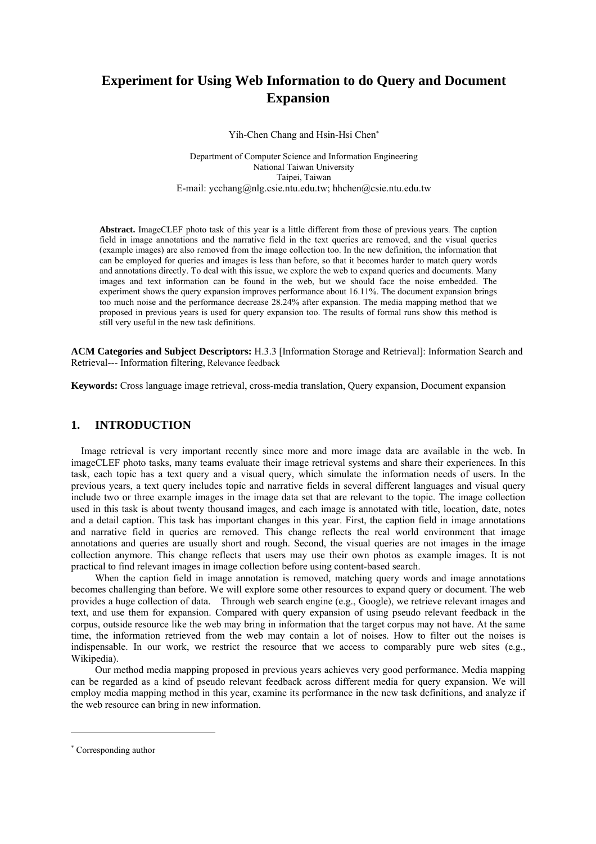# **Experiment for Using Web Information to do Query and Document Expansion**

Yih-Chen Chang and Hsin-Hsi Che[n\\*](#page-0-0)

Department of Computer Science and Information Engineering National Taiwan University Taipei, Taiwan E-mail: ycchang@nlg.csie.ntu.edu.tw; hhchen@csie.ntu.edu.tw

**Abstract.** ImageCLEF photo task of this year is a little different from those of previous years. The caption field in image annotations and the narrative field in the text queries are removed, and the visual queries (example images) are also removed from the image collection too. In the new definition, the information that can be employed for queries and images is less than before, so that it becomes harder to match query words and annotations directly. To deal with this issue, we explore the web to expand queries and documents. Many images and text information can be found in the web, but we should face the noise embedded. The experiment shows the query expansion improves performance about 16.11%. The document expansion brings too much noise and the performance decrease 28.24% after expansion. The media mapping method that we proposed in previous years is used for query expansion too. The results of formal runs show this method is still very useful in the new task definitions.

**ACM Categories and Subject Descriptors:** H.3.3 [Information Storage and Retrieval]: Information Search and Retrieval--- Information filtering, Relevance feedback

**Keywords:** Cross language image retrieval, cross-media translation, Query expansion, Document expansion

# **1. INTRODUCTION**

Image retrieval is very important recently since more and more image data are available in the web. In imageCLEF photo tasks, many teams evaluate their image retrieval systems and share their experiences. In this task, each topic has a text query and a visual query, which simulate the information needs of users. In the previous years, a text query includes topic and narrative fields in several different languages and visual query include two or three example images in the image data set that are relevant to the topic. The image collection used in this task is about twenty thousand images, and each image is annotated with title, location, date, notes and a detail caption. This task has important changes in this year. First, the caption field in image annotations and narrative field in queries are removed. This change reflects the real world environment that image annotations and queries are usually short and rough. Second, the visual queries are not images in the image collection anymore. This change reflects that users may use their own photos as example images. It is not practical to find relevant images in image collection before using content-based search.

When the caption field in image annotation is removed, matching query words and image annotations becomes challenging than before. We will explore some other resources to expand query or document. The web provides a huge collection of data. Through web search engine (e.g., Google), we retrieve relevant images and text, and use them for expansion. Compared with query expansion of using pseudo relevant feedback in the corpus, outside resource like the web may bring in information that the target corpus may not have. At the same time, the information retrieved from the web may contain a lot of noises. How to filter out the noises is indispensable. In our work, we restrict the resource that we access to comparably pure web sites (e.g., Wikipedia).

Our method media mapping proposed in previous years achieves very good performance. Media mapping can be regarded as a kind of pseudo relevant feedback across different media for query expansion. We will employ media mapping method in this year, examine its performance in the new task definitions, and analyze if the web resource can bring in new information.

 $\overline{a}$ 

<span id="page-0-0"></span><sup>\*</sup> Corresponding author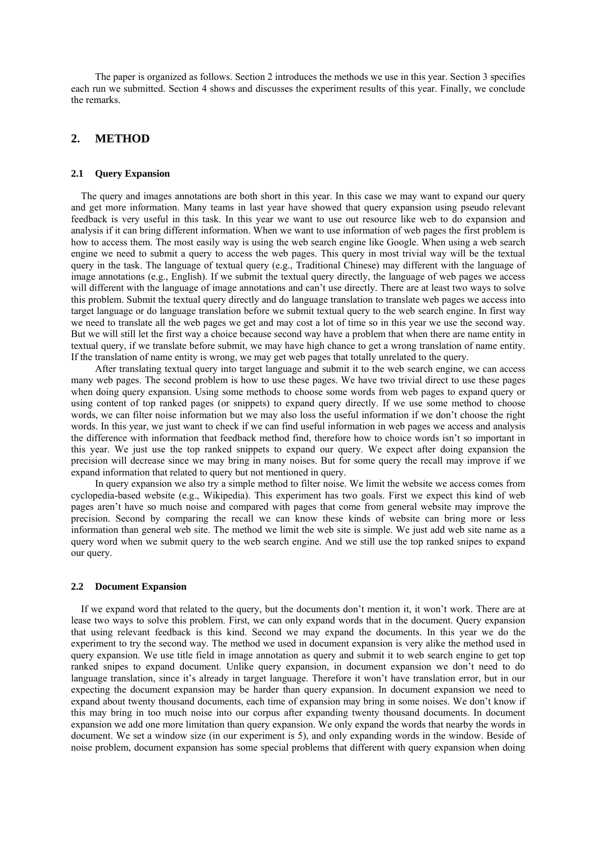The paper is organized as follows. Section 2 introduces the methods we use in this year. Section 3 specifies each run we submitted. Section 4 shows and discusses the experiment results of this year. Finally, we conclude the remarks.

# **2. METHOD**

### **2.1 Query Expansion**

The query and images annotations are both short in this year. In this case we may want to expand our query and get more information. Many teams in last year have showed that query expansion using pseudo relevant feedback is very useful in this task. In this year we want to use out resource like web to do expansion and analysis if it can bring different information. When we want to use information of web pages the first problem is how to access them. The most easily way is using the web search engine like Google. When using a web search engine we need to submit a query to access the web pages. This query in most trivial way will be the textual query in the task. The language of textual query (e.g., Traditional Chinese) may different with the language of image annotations (e.g., English). If we submit the textual query directly, the language of web pages we access will different with the language of image annotations and can't use directly. There are at least two ways to solve this problem. Submit the textual query directly and do language translation to translate web pages we access into target language or do language translation before we submit textual query to the web search engine. In first way we need to translate all the web pages we get and may cost a lot of time so in this year we use the second way. But we will still let the first way a choice because second way have a problem that when there are name entity in textual query, if we translate before submit, we may have high chance to get a wrong translation of name entity. If the translation of name entity is wrong, we may get web pages that totally unrelated to the query.

After translating textual query into target language and submit it to the web search engine, we can access many web pages. The second problem is how to use these pages. We have two trivial direct to use these pages when doing query expansion. Using some methods to choose some words from web pages to expand query or using content of top ranked pages (or snippets) to expand query directly. If we use some method to choose words, we can filter noise information but we may also loss the useful information if we don't choose the right words. In this year, we just want to check if we can find useful information in web pages we access and analysis the difference with information that feedback method find, therefore how to choice words isn't so important in this year. We just use the top ranked snippets to expand our query. We expect after doing expansion the precision will decrease since we may bring in many noises. But for some query the recall may improve if we expand information that related to query but not mentioned in query.

In query expansion we also try a simple method to filter noise. We limit the website we access comes from cyclopedia-based website (e.g., Wikipedia). This experiment has two goals. First we expect this kind of web pages aren't have so much noise and compared with pages that come from general website may improve the precision. Second by comparing the recall we can know these kinds of website can bring more or less information than general web site. The method we limit the web site is simple. We just add web site name as a query word when we submit query to the web search engine. And we still use the top ranked snipes to expand our query.

#### **2.2 Document Expansion**

If we expand word that related to the query, but the documents don't mention it, it won't work. There are at lease two ways to solve this problem. First, we can only expand words that in the document. Query expansion that using relevant feedback is this kind. Second we may expand the documents. In this year we do the experiment to try the second way. The method we used in document expansion is very alike the method used in query expansion. We use title field in image annotation as query and submit it to web search engine to get top ranked snipes to expand document. Unlike query expansion, in document expansion we don't need to do language translation, since it's already in target language. Therefore it won't have translation error, but in our expecting the document expansion may be harder than query expansion. In document expansion we need to expand about twenty thousand documents, each time of expansion may bring in some noises. We don't know if this may bring in too much noise into our corpus after expanding twenty thousand documents. In document expansion we add one more limitation than query expansion. We only expand the words that nearby the words in document. We set a window size (in our experiment is 5), and only expanding words in the window. Beside of noise problem, document expansion has some special problems that different with query expansion when doing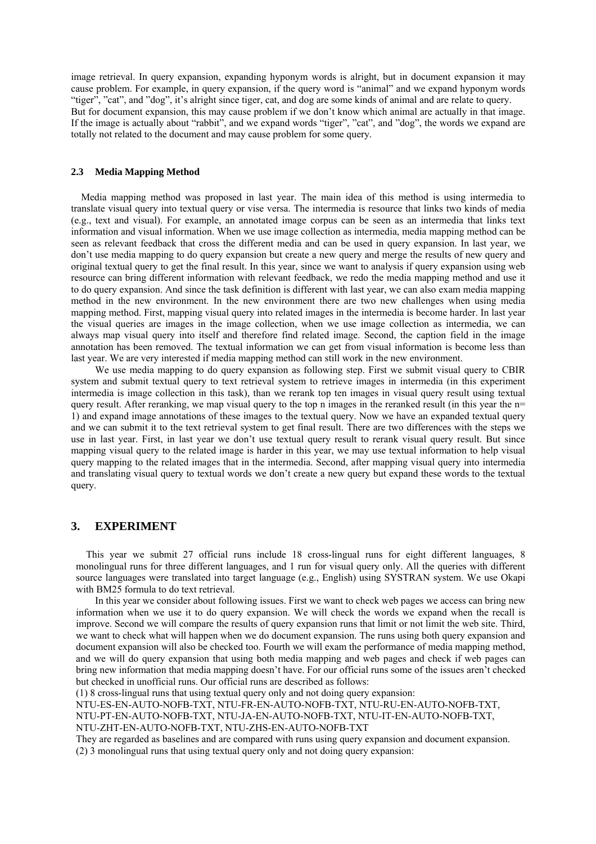image retrieval. In query expansion, expanding hyponym words is alright, but in document expansion it may cause problem. For example, in query expansion, if the query word is "animal" and we expand hyponym words "tiger", "cat", and "dog", it's alright since tiger, cat, and dog are some kinds of animal and are relate to query. But for document expansion, this may cause problem if we don't know which animal are actually in that image. If the image is actually about "rabbit", and we expand words "tiger", "cat", and "dog", the words we expand are totally not related to the document and may cause problem for some query.

#### **2.3 Media Mapping Method**

 Media mapping method was proposed in last year. The main idea of this method is using intermedia to translate visual query into textual query or vise versa. The intermedia is resource that links two kinds of media (e.g., text and visual). For example, an annotated image corpus can be seen as an intermedia that links text information and visual information. When we use image collection as intermedia, media mapping method can be seen as relevant feedback that cross the different media and can be used in query expansion. In last year, we don't use media mapping to do query expansion but create a new query and merge the results of new query and original textual query to get the final result. In this year, since we want to analysis if query expansion using web resource can bring different information with relevant feedback, we redo the media mapping method and use it to do query expansion. And since the task definition is different with last year, we can also exam media mapping method in the new environment. In the new environment there are two new challenges when using media mapping method. First, mapping visual query into related images in the intermedia is become harder. In last year the visual queries are images in the image collection, when we use image collection as intermedia, we can always map visual query into itself and therefore find related image. Second, the caption field in the image annotation has been removed. The textual information we can get from visual information is become less than last year. We are very interested if media mapping method can still work in the new environment.

We use media mapping to do query expansion as following step. First we submit visual query to CBIR system and submit textual query to text retrieval system to retrieve images in intermedia (in this experiment intermedia is image collection in this task), than we rerank top ten images in visual query result using textual query result. After reranking, we map visual query to the top n images in the reranked result (in this year the  $n=$ 1) and expand image annotations of these images to the textual query. Now we have an expanded textual query and we can submit it to the text retrieval system to get final result. There are two differences with the steps we use in last year. First, in last year we don't use textual query result to rerank visual query result. But since mapping visual query to the related image is harder in this year, we may use textual information to help visual query mapping to the related images that in the intermedia. Second, after mapping visual query into intermedia and translating visual query to textual words we don't create a new query but expand these words to the textual query.

# **3. EXPERIMENT**

 This year we submit 27 official runs include 18 cross-lingual runs for eight different languages, 8 monolingual runs for three different languages, and 1 run for visual query only. All the queries with different source languages were translated into target language (e.g., English) using SYSTRAN system. We use Okapi with BM25 formula to do text retrieval.

In this year we consider about following issues. First we want to check web pages we access can bring new information when we use it to do query expansion. We will check the words we expand when the recall is improve. Second we will compare the results of query expansion runs that limit or not limit the web site. Third, we want to check what will happen when we do document expansion. The runs using both query expansion and document expansion will also be checked too. Fourth we will exam the performance of media mapping method, and we will do query expansion that using both media mapping and web pages and check if web pages can bring new information that media mapping doesn't have. For our official runs some of the issues aren't checked but checked in unofficial runs. Our official runs are described as follows:

(1) 8 cross-lingual runs that using textual query only and not doing query expansion:

NTU-ES-EN-AUTO-NOFB-TXT, NTU-FR-EN-AUTO-NOFB-TXT, NTU-RU-EN-AUTO-NOFB-TXT,

NTU-PT-EN-AUTO-NOFB-TXT, NTU-JA-EN-AUTO-NOFB-TXT, NTU-IT-EN-AUTO-NOFB-TXT,

NTU-ZHT-EN-AUTO-NOFB-TXT, NTU-ZHS-EN-AUTO-NOFB-TXT

They are regarded as baselines and are compared with runs using query expansion and document expansion. (2) 3 monolingual runs that using textual query only and not doing query expansion: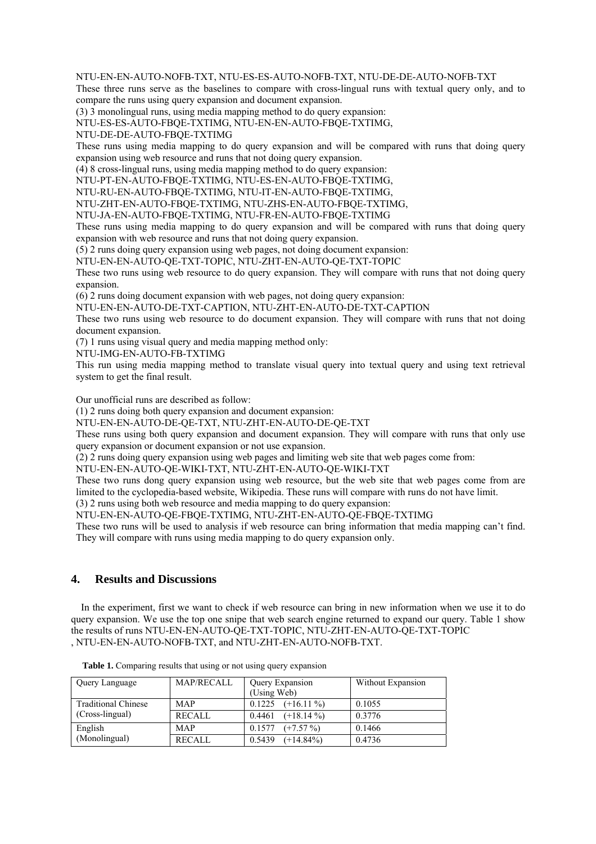#### NTU-EN-EN-AUTO-NOFB-TXT, NTU-ES-ES-AUTO-NOFB-TXT, NTU-DE-DE-AUTO-NOFB-TXT

These three runs serve as the baselines to compare with cross-lingual runs with textual query only, and to compare the runs using query expansion and document expansion.

(3) 3 monolingual runs, using media mapping method to do query expansion:

NTU-ES-ES-AUTO-FBQE-TXTIMG, NTU-EN-EN-AUTO-FBQE-TXTIMG,

NTU-DE-DE-AUTO-FBQE-TXTIMG

These runs using media mapping to do query expansion and will be compared with runs that doing query expansion using web resource and runs that not doing query expansion.

(4) 8 cross-lingual runs, using media mapping method to do query expansion:

NTU-PT-EN-AUTO-FBQE-TXTIMG, NTU-ES-EN-AUTO-FBQE-TXTIMG,

NTU-RU-EN-AUTO-FBQE-TXTIMG, NTU-IT-EN-AUTO-FBQE-TXTIMG,

NTU-ZHT-EN-AUTO-FBQE-TXTIMG, NTU-ZHS-EN-AUTO-FBQE-TXTIMG,

NTU-JA-EN-AUTO-FBQE-TXTIMG, NTU-FR-EN-AUTO-FBQE-TXTIMG

These runs using media mapping to do query expansion and will be compared with runs that doing query expansion with web resource and runs that not doing query expansion.

(5) 2 runs doing query expansion using web pages, not doing document expansion:

NTU-EN-EN-AUTO-QE-TXT-TOPIC, NTU-ZHT-EN-AUTO-QE-TXT-TOPIC

These two runs using web resource to do query expansion. They will compare with runs that not doing query expansion.

(6) 2 runs doing document expansion with web pages, not doing query expansion:

NTU-EN-EN-AUTO-DE-TXT-CAPTION, NTU-ZHT-EN-AUTO-DE-TXT-CAPTION

These two runs using web resource to do document expansion. They will compare with runs that not doing document expansion.

(7) 1 runs using visual query and media mapping method only:

NTU-IMG-EN-AUTO-FB-TXTIMG

This run using media mapping method to translate visual query into textual query and using text retrieval system to get the final result.

Our unofficial runs are described as follow:

(1) 2 runs doing both query expansion and document expansion:

NTU-EN-EN-AUTO-DE-QE-TXT, NTU-ZHT-EN-AUTO-DE-QE-TXT

These runs using both query expansion and document expansion. They will compare with runs that only use query expansion or document expansion or not use expansion.

(2) 2 runs doing query expansion using web pages and limiting web site that web pages come from:

NTU-EN-EN-AUTO-QE-WIKI-TXT, NTU-ZHT-EN-AUTO-QE-WIKI-TXT

These two runs dong query expansion using web resource, but the web site that web pages come from are limited to the cyclopedia-based website, Wikipedia. These runs will compare with runs do not have limit.

(3) 2 runs using both web resource and media mapping to do query expansion:

NTU-EN-EN-AUTO-QE-FBQE-TXTIMG, NTU-ZHT-EN-AUTO-QE-FBQE-TXTIMG

These two runs will be used to analysis if web resource can bring information that media mapping can't find. They will compare with runs using media mapping to do query expansion only.

## **4. Results and Discussions**

In the experiment, first we want to check if web resource can bring in new information when we use it to do query expansion. We use the top one snipe that web search engine returned to expand our query. Table 1 show the results of runs NTU-EN-EN-AUTO-QE-TXT-TOPIC, NTU-ZHT-EN-AUTO-QE-TXT-TOPIC , NTU-EN-EN-AUTO-NOFB-TXT, and NTU-ZHT-EN-AUTO-NOFB-TXT.

| Query Language             | <b>MAP/RECALL</b> | Query Expansion        | Without Expansion |
|----------------------------|-------------------|------------------------|-------------------|
|                            |                   | (Using Web)            |                   |
| <b>Traditional Chinese</b> | <b>MAP</b>        | 0.1225<br>$(+16.11\%)$ | 0.1055            |
| (Cross-lingual)            | <b>RECALL</b>     | $(+18.14\%)$<br>0.4461 | 0.3776            |
| English                    | <b>MAP</b>        | 0.1577<br>$(+7.57\%)$  | 0.1466            |
| (Monolingual)              | <b>RECALL</b>     | 0.5439<br>$(+14.84\%)$ | 0.4736            |

**Table 1.** Comparing results that using or not using query expansion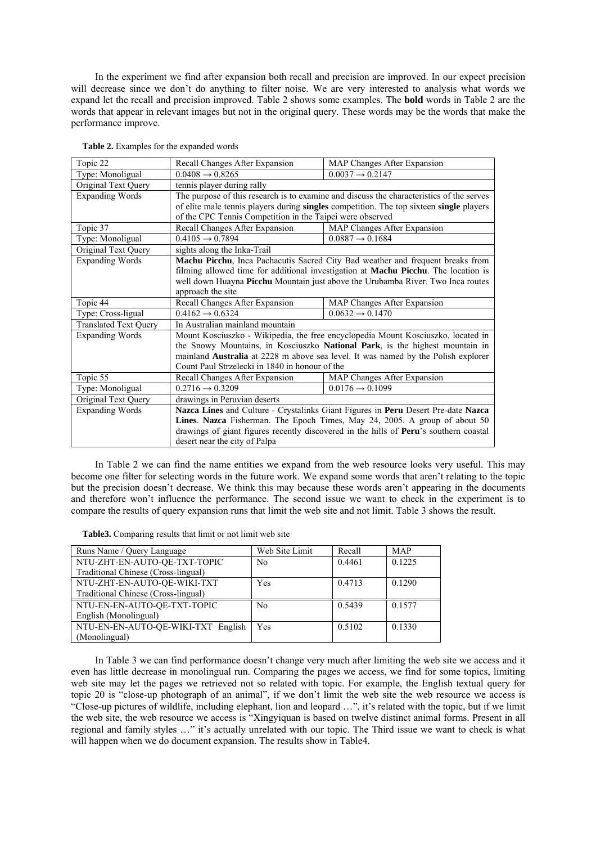In the experiment we find after expansion both recall and precision are improved. In our expect precision will decrease since we don't do anything to filter noise. We are very interested to analysis what words we expand let the recall and precision improved. Table 2 shows some examples. The **bold** words in Table 2 are the words that appear in relevant images but not in the original query. These words may be the words that make the performance improve.

| Topic 22                     | Recall Changes After Expansion                                                                | MAP Changes After Expansion |  |  |
|------------------------------|-----------------------------------------------------------------------------------------------|-----------------------------|--|--|
| Type: Monoligual             | $0.0408 \rightarrow 0.8265$                                                                   | $0.0037 \rightarrow 0.2147$ |  |  |
| Original Text Query          | tennis player during rally                                                                    |                             |  |  |
| <b>Expanding Words</b>       | The purpose of this research is to examine and discuss the characteristics of the serves      |                             |  |  |
|                              | of elite male tennis players during singles competition. The top sixteen single players       |                             |  |  |
|                              | of the CPC Tennis Competition in the Taipei were observed                                     |                             |  |  |
| Topic 37                     | Recall Changes After Expansion                                                                | MAP Changes After Expansion |  |  |
| Type: Monoligual             | $0.4105 \rightarrow 0.7894$                                                                   | $0.0887 \rightarrow 0.1684$ |  |  |
| Original Text Query          | sights along the Inka-Trail                                                                   |                             |  |  |
| <b>Expanding Words</b>       | Machu Picchu, Inca Pachacutis Sacred City Bad weather and frequent breaks from                |                             |  |  |
|                              | filming allowed time for additional investigation at <b>Machu Picchu</b> . The location is    |                             |  |  |
|                              | well down Huayna Picchu Mountain just above the Urubamba River. Two Inca routes               |                             |  |  |
|                              | approach the site                                                                             |                             |  |  |
| Topic 44                     | Recall Changes After Expansion                                                                | MAP Changes After Expansion |  |  |
| Type: Cross-ligual           | $0.4162 \rightarrow 0.6324$                                                                   | $0.0632 \rightarrow 0.1470$ |  |  |
| <b>Translated Text Query</b> | In Australian mainland mountain                                                               |                             |  |  |
| <b>Expanding Words</b>       | Mount Kosciuszko - Wikipedia, the free encyclopedia Mount Kosciuszko, located in              |                             |  |  |
|                              | the Snowy Mountains, in Kosciuszko National Park, is the highest mountain in                  |                             |  |  |
|                              | mainland Australia at 2228 m above sea level. It was named by the Polish explorer             |                             |  |  |
|                              | Count Paul Strzelecki in 1840 in honour of the                                                |                             |  |  |
| Topic 55                     | Recall Changes After Expansion                                                                | MAP Changes After Expansion |  |  |
| Type: Monoligual             | $0.2716 \rightarrow 0.3209$                                                                   | $0.0176 \rightarrow 0.1099$ |  |  |
| Original Text Query          | drawings in Peruvian deserts                                                                  |                             |  |  |
| <b>Expanding Words</b>       | Nazca Lines and Culture - Crystalinks Giant Figures in Peru Desert Pre-date Nazca             |                             |  |  |
|                              | Lines. Nazca Fisherman. The Epoch Times, May 24, 2005. A group of about 50                    |                             |  |  |
|                              | drawings of giant figures recently discovered in the hills of <b>Peru</b> 's southern coastal |                             |  |  |
|                              | desert near the city of Palpa                                                                 |                             |  |  |

**Table 2.** Examples for the expanded words

In Table 2 we can find the name entities we expand from the web resource looks very useful. This may become one filter for selecting words in the future work. We expand some words that aren't relating to the topic but the precision doesn't decrease. We think this may because these words aren't appearing in the documents and therefore won't influence the performance. The second issue we want to check in the experiment is to compare the results of query expansion runs that limit the web site and not limit. Table 3 shows the result.

**Table3.** Comparing results that limit or not limit web site

| Runs Name / Query Language          | Web Site Limit | Recall | MAP    |
|-------------------------------------|----------------|--------|--------|
| NTU-ZHT-EN-AUTO-QE-TXT-TOPIC        | N <sub>0</sub> | 0.4461 | 0.1225 |
| Traditional Chinese (Cross-lingual) |                |        |        |
| NTU-ZHT-EN-AUTO-QE-WIKI-TXT         | Yes            | 0.4713 | 0.1290 |
| Traditional Chinese (Cross-lingual) |                |        |        |
| NTU-EN-EN-AUTO-QE-TXT-TOPIC         | N <sub>0</sub> | 0.5439 | 0.1577 |
| English (Monolingual)               |                |        |        |
| NTU-EN-EN-AUTO-QE-WIKI-TXT English  | Yes            | 0.5102 | 0.1330 |
| (Monolingual)                       |                |        |        |

In Table 3 we can find performance doesn't change very much after limiting the web site we access and it even has little decrease in monolingual run. Comparing the pages we access, we find for some topics, limiting web site may let the pages we retrieved not so related with topic. For example, the English textual query for topic 20 is "close-up photograph of an animal", if we don't limit the web site the web resource we access is "Close-up pictures of wildlife, including elephant, lion and leopard …", it's related with the topic, but if we limit the web site, the web resource we access is "Xingyiquan is based on twelve distinct animal forms. Present in all regional and family styles …" it's actually unrelated with our topic. The Third issue we want to check is what will happen when we do document expansion. The results show in Table4.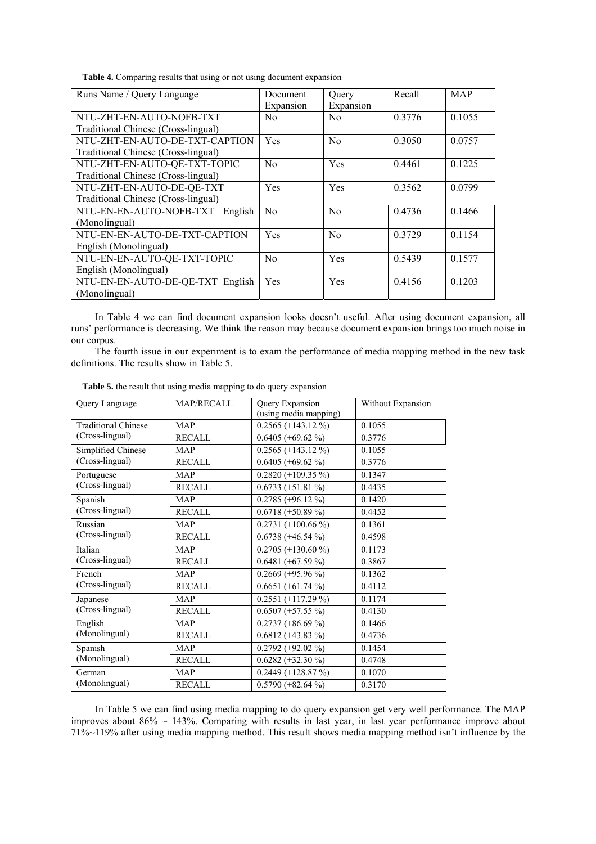**Table 4.** Comparing results that using or not using document expansion

| Runs Name / Query Language          | Document       | Query          | Recall | MAP    |
|-------------------------------------|----------------|----------------|--------|--------|
|                                     | Expansion      | Expansion      |        |        |
| NTU-ZHT-EN-AUTO-NOFB-TXT            | N <sub>0</sub> | No.            | 0.3776 | 0.1055 |
| Traditional Chinese (Cross-lingual) |                |                |        |        |
| NTU-ZHT-EN-AUTO-DE-TXT-CAPTION      | Yes            | N <sub>0</sub> | 0.3050 | 0.0757 |
| Traditional Chinese (Cross-lingual) |                |                |        |        |
| NTU-ZHT-EN-AUTO-QE-TXT-TOPIC        | N <sub>0</sub> | Yes            | 0.4461 | 0.1225 |
| Traditional Chinese (Cross-lingual) |                |                |        |        |
| NTU-ZHT-EN-AUTO-DE-QE-TXT           | Yes            | Yes            | 0.3562 | 0.0799 |
| Traditional Chinese (Cross-lingual) |                |                |        |        |
| NTU-EN-EN-AUTO-NOFB-TXT English     | N <sub>0</sub> | No             | 0.4736 | 0.1466 |
| (Monolingual)                       |                |                |        |        |
| NTU-EN-EN-AUTO-DE-TXT-CAPTION       | Yes            | N <sub>0</sub> | 0.3729 | 0.1154 |
| English (Monolingual)               |                |                |        |        |
| NTU-EN-EN-AUTO-QE-TXT-TOPIC         | No             | Yes            | 0.5439 | 0.1577 |
| English (Monolingual)               |                |                |        |        |
| NTU-EN-EN-AUTO-DE-QE-TXT English    | Yes            | Yes            | 0.4156 | 0.1203 |
| (Monolingual)                       |                |                |        |        |

In Table 4 we can find document expansion looks doesn't useful. After using document expansion, all runs' performance is decreasing. We think the reason may because document expansion brings too much noise in our corpus.

The fourth issue in our experiment is to exam the performance of media mapping method in the new task definitions. The results show in Table 5.

| Query Language             | MAP/RECALL    | Query Expansion<br>(using media mapping) | Without Expansion |
|----------------------------|---------------|------------------------------------------|-------------------|
| <b>Traditional Chinese</b> | <b>MAP</b>    | $0.2565 (+143.12\%)$                     | 0.1055            |
| (Cross-lingual)            | <b>RECALL</b> | $0.6405 (+69.62 %)$                      | 0.3776            |
| Simplified Chinese         | <b>MAP</b>    | $0.2565 (+143.12\%)$                     | 0.1055            |
| (Cross-lingual)            | <b>RECALL</b> | $0.6405 (+69.62\%)$                      | 0.3776            |
| Portuguese                 | <b>MAP</b>    | $0.2820 (+109.35\%)$                     | 0.1347            |
| (Cross-lingual)            | <b>RECALL</b> | $0.6733 (+51.81%)$                       | 0.4435            |
| Spanish                    | <b>MAP</b>    | $0.2785 (+96.12 %)$                      | 0.1420            |
| (Cross-lingual)            | <b>RECALL</b> | $0.6718 (+50.89%)$                       | 0.4452            |
| Russian                    | MAP           | $0.2731 (+100.66\%)$                     | 0.1361            |
| (Cross-lingual)            | <b>RECALL</b> | $0.6738 (+46.54 %)$                      | 0.4598            |
| Italian                    | <b>MAP</b>    | $0.2705 (+130.60\%)$                     | 0.1173            |
| (Cross-lingual)            | <b>RECALL</b> | $0.6481 (+67.59%)$                       | 0.3867            |
| French                     | <b>MAP</b>    | $0.2669 (+95.96\%)$                      | 0.1362            |
| (Cross-lingual)            | <b>RECALL</b> | $0.6651 (+61.74\%)$                      | 0.4112            |
| Japanese                   | <b>MAP</b>    | $0.2551 (+117.29%)$                      | 0.1174            |
| (Cross-lingual)            | <b>RECALL</b> | $\overline{0.6}507 (+57.55\%)$           | 0.4130            |
| English                    | <b>MAP</b>    | $0.2737 (+86.69%)$                       | 0.1466            |
| (Monolingual)              | <b>RECALL</b> | $0.6812 (+43.83 \overline{\frac{9}{0}})$ | 0.4736            |
| Spanish                    | <b>MAP</b>    | $0.2792 (+92.02 %)$                      | 0.1454            |
| (Monolingual)              | <b>RECALL</b> | $0.6282 (+32.30\%)$                      | 0.4748            |
| German                     | <b>MAP</b>    | $0.2449 (+128.87%)$                      | 0.1070            |
| (Monolingual)              | <b>RECALL</b> | $0.5790 (+82.64%)$                       | 0.3170            |

**Table 5.** the result that using media mapping to do query expansion

In Table 5 we can find using media mapping to do query expansion get very well performance. The MAP improves about  $86\% \sim 143\%$ . Comparing with results in last year, in last year performance improve about 71%~119% after using media mapping method. This result shows media mapping method isn't influence by the